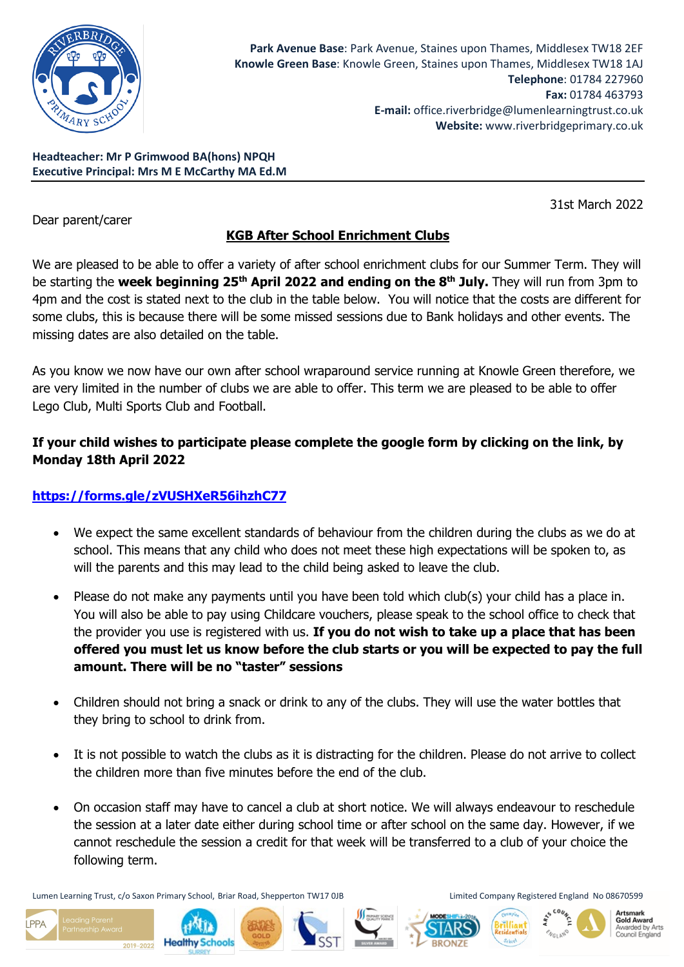

**Headteacher: Mr P Grimwood BA(hons) NPQH Executive Principal: Mrs M E McCarthy MA Ed.M**

Dear parent/carer

31st March 2022

# **KGB After School Enrichment Clubs**

We are pleased to be able to offer a variety of after school enrichment clubs for our Summer Term. They will be starting the **week beginning 25th April 2022 and ending on the 8th July.** They will run from 3pm to 4pm and the cost is stated next to the club in the table below. You will notice that the costs are different for some clubs, this is because there will be some missed sessions due to Bank holidays and other events. The missing dates are also detailed on the table.

As you know we now have our own after school wraparound service running at Knowle Green therefore, we are very limited in the number of clubs we are able to offer. This term we are pleased to be able to offer Lego Club, Multi Sports Club and Football.

## **If your child wishes to participate please complete the google form by clicking on the link, by Monday 18th April 2022**

# **<https://forms.gle/zVUSHXeR56ihzhC77>**

- We expect the same excellent standards of behaviour from the children during the clubs as we do at school. This means that any child who does not meet these high expectations will be spoken to, as will the parents and this may lead to the child being asked to leave the club.
- Please do not make any payments until you have been told which club(s) your child has a place in. You will also be able to pay using Childcare vouchers, please speak to the school office to check that the provider you use is registered with us. **If you do not wish to take up a place that has been offered you must let us know before the club starts or you will be expected to pay the full amount. There will be no "taster" sessions**
- Children should not bring a snack or drink to any of the clubs. They will use the water bottles that they bring to school to drink from.
- It is not possible to watch the clubs as it is distracting for the children. Please do not arrive to collect the children more than five minutes before the end of the club.
- On occasion staff may have to cancel a club at short notice. We will always endeavour to reschedule the session at a later date either during school time or after school on the same day. However, if we cannot reschedule the session a credit for that week will be transferred to a club of your choice the following term.

Lumen Learning Trust, c/o Saxon Primary School, Briar Road, Shepperton TW17 0JB Limited Company Registered England No 08670599

2019-2022

 $PPA$